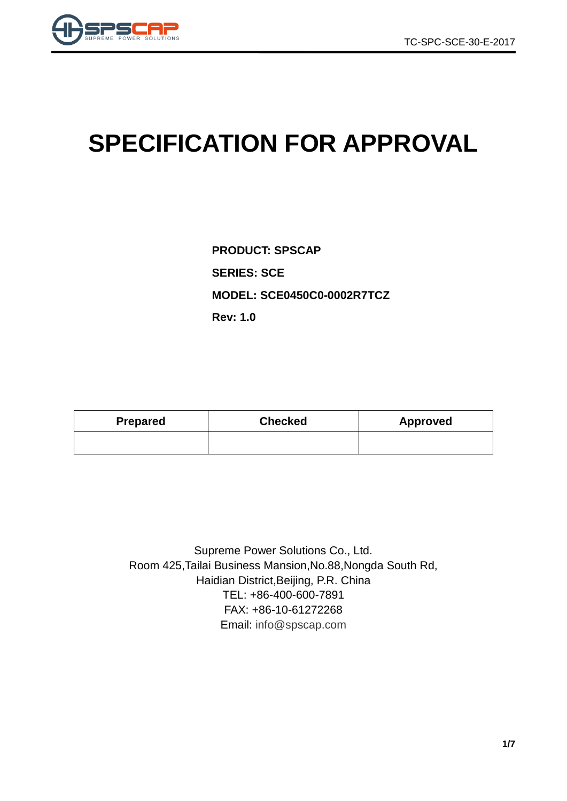

# **SPECIFICATION FOR APPROVAL**

**PRODUCT: SPSCAP SERIES: SCE MODEL: SCE0450C0-0002R7TCZ Rev: 1.0**

| Prepared | <b>Checked</b> | Approved |  |  |
|----------|----------------|----------|--|--|
|          |                |          |  |  |

Supreme Power Solutions Co., Ltd. Room 425,Tailai Business Mansion,No.88,Nongda South Rd, Haidian District,Beijing, P.R. China TEL: +86-400-600-7891 FAX: +86-10-61272268 Email: [info@spscap.com](mailto:info@spscap.com)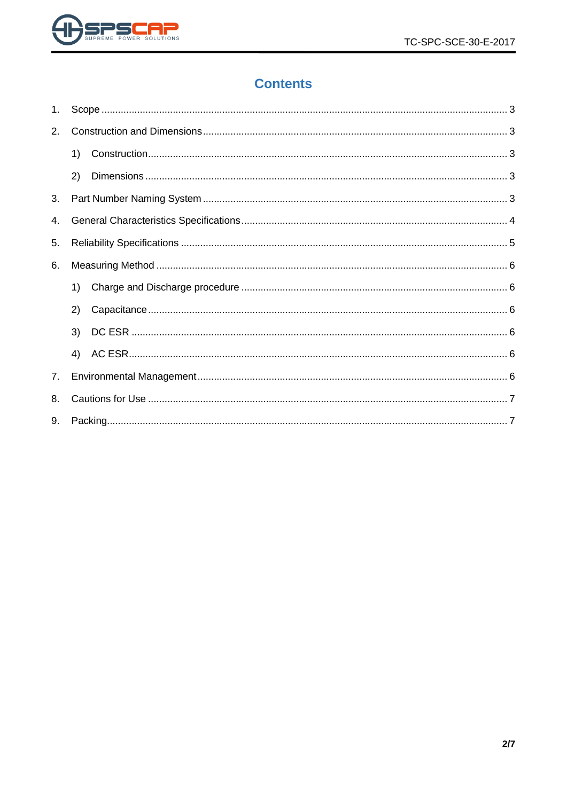

# **Contents**

| 1. |    |  |  |  |  |  |
|----|----|--|--|--|--|--|
| 2. |    |  |  |  |  |  |
|    | 1) |  |  |  |  |  |
|    | 2) |  |  |  |  |  |
| 3. |    |  |  |  |  |  |
| 4. |    |  |  |  |  |  |
| 5. |    |  |  |  |  |  |
| 6. |    |  |  |  |  |  |
|    | 1) |  |  |  |  |  |
|    | 2) |  |  |  |  |  |
|    | 3) |  |  |  |  |  |
|    | 4) |  |  |  |  |  |
| 7. |    |  |  |  |  |  |
| 8. |    |  |  |  |  |  |
| 9. |    |  |  |  |  |  |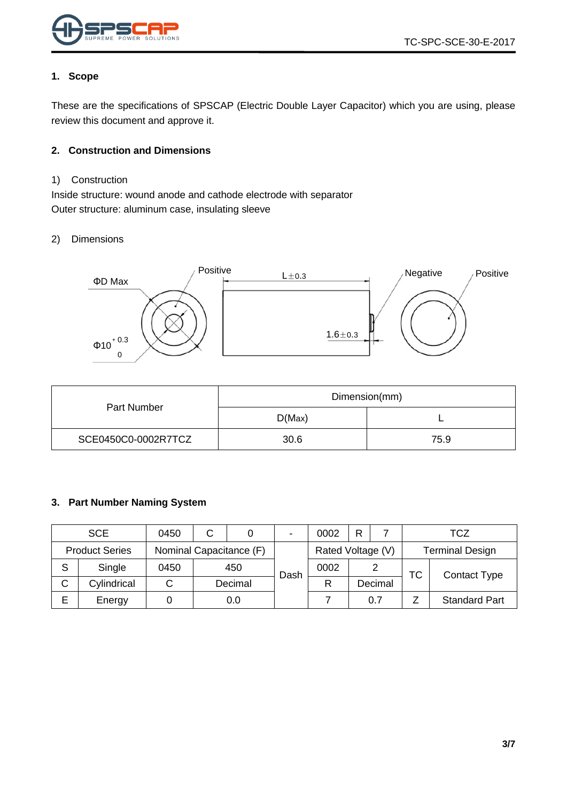

#### <span id="page-2-0"></span>**1. Scope**

These are the specifications of SPSCAP (Electric Double Layer Capacitor) which you are using, please review this document and approve it.

#### <span id="page-2-1"></span>**2. Construction and Dimensions**

#### <span id="page-2-2"></span>1) Construction

Inside structure: wound anode and cathode electrode with separator Outer structure: aluminum case, insulating sleeve

#### <span id="page-2-3"></span>2) Dimensions



|                     | Dimension(mm) |      |  |  |
|---------------------|---------------|------|--|--|
| Part Number         | D(Max)        |      |  |  |
| SCE0450C0-0002R7TCZ | 30.6          | 75.9 |  |  |

#### <span id="page-2-4"></span>**3. Part Number Naming System**

|   | <b>SCE</b>                                       | 0450   | C                 |         | $\blacksquare$         | 0002 | Þ |         |    | <b>TCZ</b>           |
|---|--------------------------------------------------|--------|-------------------|---------|------------------------|------|---|---------|----|----------------------|
|   | Nominal Capacitance (F)<br><b>Product Series</b> |        | Rated Voltage (V) |         | <b>Terminal Design</b> |      |   |         |    |                      |
| S | Single                                           | 0450   |                   | 450     | Dash                   | 0002 |   |         | ТC | <b>Contact Type</b>  |
| C | Cylindrical                                      | $\sim$ |                   | Decimal |                        | R    |   | Decimal |    |                      |
| Е | Energy                                           |        |                   | 0.0     |                        |      |   | 0.7     |    | <b>Standard Part</b> |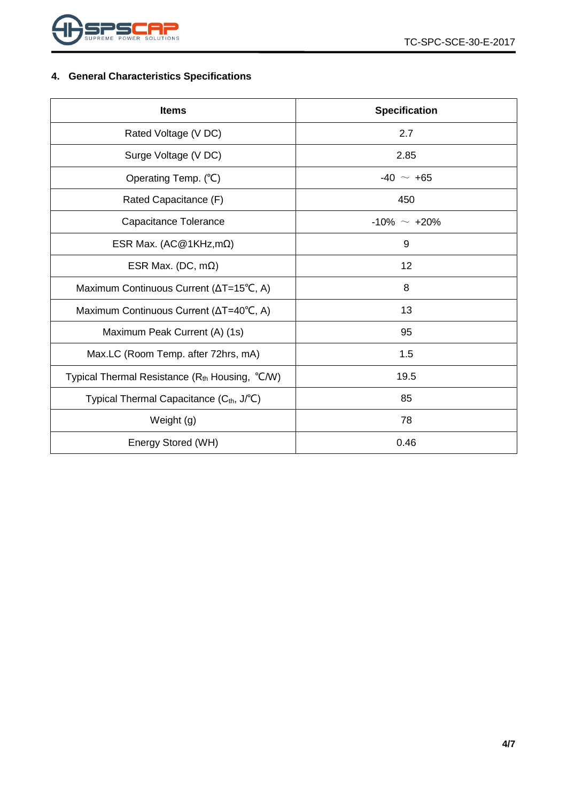

## <span id="page-3-0"></span>**4. General Characteristics Specifications**

| <b>Items</b>                                         | <b>Specification</b> |  |  |
|------------------------------------------------------|----------------------|--|--|
| Rated Voltage (V DC)                                 | 2.7                  |  |  |
| Surge Voltage (V DC)                                 | 2.85                 |  |  |
| Operating Temp. (°C)                                 | $-40 \sim +65$       |  |  |
| Rated Capacitance (F)                                | 450                  |  |  |
| Capacitance Tolerance                                | $-10\% \sim +20\%$   |  |  |
| ESR Max. (AC@1KHz,m $\Omega$ )                       | 9                    |  |  |
| ESR Max. (DC, $m\Omega$ )                            | 12                   |  |  |
| Maximum Continuous Current (∆T=15°C, A)              | 8                    |  |  |
| Maximum Continuous Current (ΔT=40°C, A)              | 13                   |  |  |
| Maximum Peak Current (A) (1s)                        | 95                   |  |  |
| Max.LC (Room Temp. after 72hrs, mA)                  | 1.5                  |  |  |
| Typical Thermal Resistance $(Rth$ Housing, $°C/W)$   | 19.5                 |  |  |
| Typical Thermal Capacitance (C <sub>th</sub> , J/°C) | 85                   |  |  |
| Weight (g)                                           | 78                   |  |  |
| Energy Stored (WH)                                   | 0.46                 |  |  |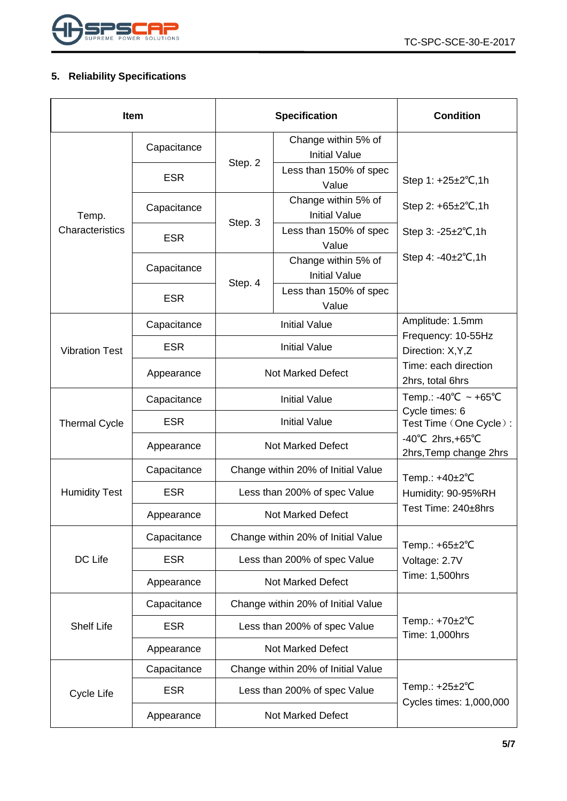

## <span id="page-4-0"></span>**5. Reliability Specifications**

| <b>Item</b>           |             |                                    | <b>Specification</b>                        | <b>Condition</b>                                                 |  |
|-----------------------|-------------|------------------------------------|---------------------------------------------|------------------------------------------------------------------|--|
|                       | Capacitance |                                    | Change within 5% of<br><b>Initial Value</b> |                                                                  |  |
|                       | <b>ESR</b>  | Step. 2                            | Less than 150% of spec<br>Value             | Step 1: +25±2°C,1h                                               |  |
| Temp.                 | Capacitance |                                    | Change within 5% of<br><b>Initial Value</b> | Step 2: $+65\pm2\degree$ C, 1h                                   |  |
| Characteristics       | <b>ESR</b>  | Step. 3                            | Less than 150% of spec<br>Value             | Step $3: -25 \pm 2^{\circ}C, 1h$                                 |  |
|                       | Capacitance |                                    | Change within 5% of<br><b>Initial Value</b> | Step 4: $-40\pm2^{\circ}C$ , 1h                                  |  |
|                       | <b>ESR</b>  | Step. 4                            | Less than 150% of spec<br>Value             |                                                                  |  |
|                       | Capacitance |                                    | <b>Initial Value</b>                        | Amplitude: 1.5mm                                                 |  |
| <b>Vibration Test</b> | <b>ESR</b>  | <b>Initial Value</b>               |                                             | Frequency: 10-55Hz<br>Direction: X, Y, Z                         |  |
|                       | Appearance  | Not Marked Defect                  |                                             | Time: each direction<br>2hrs, total 6hrs                         |  |
|                       | Capacitance |                                    | <b>Initial Value</b>                        | Temp.: -40°C ~ +65°C                                             |  |
| <b>Thermal Cycle</b>  | <b>ESR</b>  | <b>Initial Value</b>               |                                             | Cycle times: 6<br>Test Time (One Cycle):                         |  |
|                       | Appearance  |                                    | <b>Not Marked Defect</b>                    | $-40^{\circ}$ C 2hrs, +65 $^{\circ}$ C<br>2hrs, Temp change 2hrs |  |
|                       | Capacitance |                                    | Change within 20% of Initial Value          | Temp.: +40±2°C                                                   |  |
| <b>Humidity Test</b>  | <b>ESR</b>  | Less than 200% of spec Value       |                                             | Humidity: 90-95%RH<br>Test Time: 240±8hrs                        |  |
|                       | Appearance  | <b>Not Marked Defect</b>           |                                             |                                                                  |  |
|                       | Capacitance | Change within 20% of Initial Value |                                             | Temp.: +65±2°C                                                   |  |
| DC Life               | <b>ESR</b>  | Less than 200% of spec Value       |                                             | Voltage: 2.7V                                                    |  |
|                       | Appearance  |                                    | <b>Not Marked Defect</b>                    | Time: 1,500hrs                                                   |  |
|                       | Capacitance |                                    | Change within 20% of Initial Value          | Temp.: +70±2°C<br>Time: 1,000hrs                                 |  |
| <b>Shelf Life</b>     | <b>ESR</b>  |                                    | Less than 200% of spec Value                |                                                                  |  |
|                       | Appearance  | <b>Not Marked Defect</b>           |                                             |                                                                  |  |
|                       | Capacitance |                                    | Change within 20% of Initial Value          |                                                                  |  |
| Cycle Life            | <b>ESR</b>  |                                    | Less than 200% of spec Value                | Temp.: $+25\pm2$ °C<br>Cycles times: 1,000,000                   |  |
|                       | Appearance  |                                    | Not Marked Defect                           |                                                                  |  |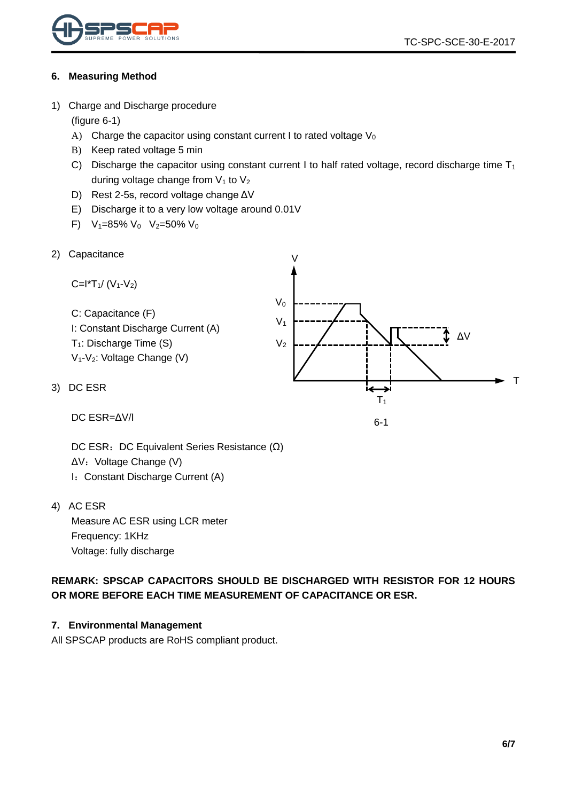

#### <span id="page-5-0"></span>**6. Measuring Method**

<span id="page-5-1"></span>1) Charge and Discharge procedure

(figure 6-1)

- A) Charge the capacitor using constant current I to rated voltage  $V_0$
- B) Keep rated voltage 5 min
- C) Discharge the capacitor using constant current I to half rated voltage, record discharge time  $T_1$ during voltage change from  $V_1$  to  $V_2$

 $\overline{V}$ 

- D) Rest 2-5s, record voltage change ΔV
- E) Discharge it to a very low voltage around 0.01V
- F)  $V_1=85\% V_0 V_2=50\% V_0$
- <span id="page-5-2"></span>2) Capacitance

C=I\*T1/ (V1-V2) C: Capacitance (F) I: Constant Discharge Current (A) T1: Discharge Time (S) V1-V2: Voltage Change (V) ΔV T1 V<sup>0</sup> V<sup>1</sup> V<sup>2</sup> T

6-1

DC ESR=ΔV/I

<span id="page-5-3"></span> $3)$ 

DC ESR: DC Equivalent Series Resistance (Ω) ΔV: Voltage Change (V) I: Constant Discharge Current (A)

<span id="page-5-4"></span>4) AC ESR

Measure AC ESR using LCR meter Frequency: 1KHz Voltage: fully discharge

**REMARK: SPSCAP CAPACITORS SHOULD BE DISCHARGED WITH RESISTOR FOR 12 HOURS OR MORE BEFORE EACH TIME MEASUREMENT OF CAPACITANCE OR ESR.**

#### <span id="page-5-5"></span>**7. Environmental Management**

All SPSCAP products are RoHS compliant product.